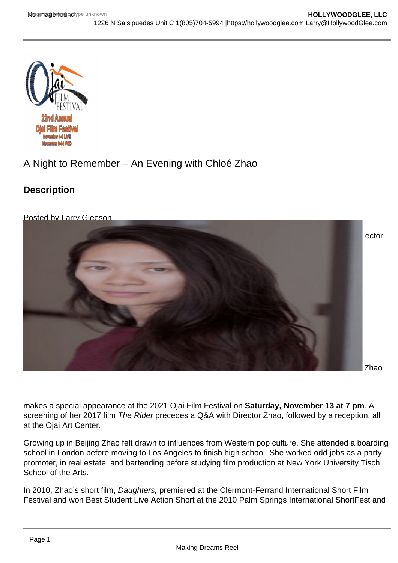## A Night to Remember – An Evening with Chloé Zhao

**Description** 

Posted by Larry Gleeson

[Ojai resident Chloé Zhao wrote and directed Nomadland, recipients of Best Picture and Best Dir](https://i0.wp.com/hollywoodglee.com/wp-content/uploads/2021/11/Chloe-Zhao.png?ssl=1)ector Oscars at the 2020 Academy Awards.

Zhao

makes a special appearance at the 2021 Ojai Film Festival on Saturday, November 13 at 7 pm . A screening of her 2017 film The Rider precedes a Q&A with Director Zhao, followed by a reception, all at the Ojai Art Center.

Growing up in Beijing Zhao felt drawn to influences from Western pop culture. She attended a boarding school in London before moving to Los Angeles to finish high school. She worked odd jobs as a party promoter, in real estate, and bartending before studying film production at New York University Tisch School of the Arts.

In 2010, Zhao's short film, Daughters, premiered at the Clermont-Ferrand International Short Film Festival and won Best Student Live Action Short at the 2010 Palm Springs International ShortFest and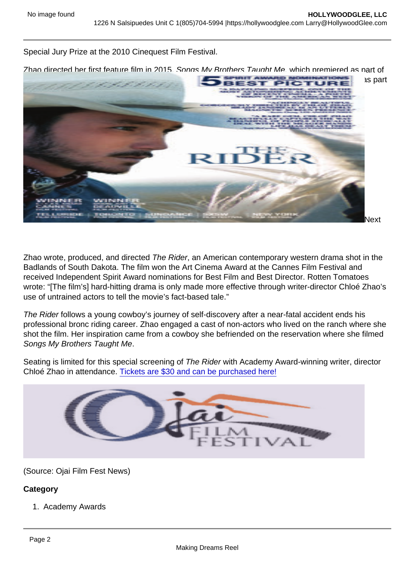Special Jury Prize at the 2010 Cinequest Film Festival.

Zhao directed her first feature film in 2015, Songs My Brothers Taught Me, which premiered as part of the US Dramatic Competition at Sundance Film Festival. It later played at Cannes Film Festival as part of the Director's Fortnight selection.

Zhao wrote, produced, and directed The Rider, an American contemporary western drama shot in the Badlands of South Dakota. The film won the Art Cinema Award at the Cannes Film Festival and received Independent Spirit Award nominations for Best Film and Best Director. Rotten Tomatoes wrote: "[The film's] hard-hitting drama is only made more effective through writer-director Chloé Zhao's use of untrained actors to tell the movie's fact-based tale."

The Rider follows a young cowboy's journey of self-discovery after a near-fatal accident ends his professional bronc riding career. Zhao engaged a cast of non-actors who lived on the ranch where she shot the film. Her inspiration came from a cowboy she befriended on the reservation where she filmed Songs My Brothers Taught Me.

Seating is limited for this special screening of The Rider with Academy Award-winning writer, director Chloé Zhao in attendance. [Tickets are \\$30 and can be purchased here!](https://ojaifilmfestival.com/product/chloe-zhao-film-qa/)

(Source: Ojai Film Fest News)

**Category** 

1. Academy Awards